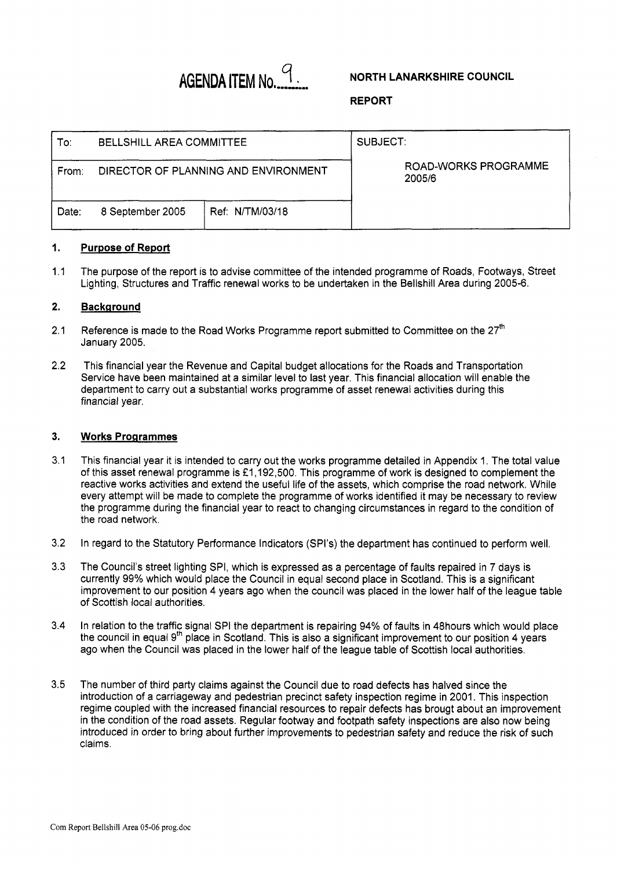# **AGENDA ITEM NO.** <sup>9</sup>

## **REPORT**

| To:   | BELLSHILL AREA COMMITTEE |                                      | SUBJECT.                       |  |  |
|-------|--------------------------|--------------------------------------|--------------------------------|--|--|
| From: |                          | DIRECTOR OF PLANNING AND ENVIRONMENT | ROAD-WORKS PROGRAMME<br>2005/6 |  |  |
| Date: | 8 September 2005         | Ref: N/TM/03/18                      |                                |  |  |

#### **1. Purpose of Report**

1.1 The purpose of the report is to advise committee of the intended programme of Roads, Footways, Street Lighting, Structures and Traffic renewal works to be undertaken in the Bellshill Area during 2005-6.

#### **2. Bac kg round**

- 2.1 Reference is made to the Road Works Programme report submitted to Committee on the  $27<sup>th</sup>$ January 2005.
- 2.2 This financial year the Revenue and Capital budget allocations for the Roads and Transportation Service have been maintained at a similar level to last year. This financial allocation will enable the department to carry out a substantial works programme of asset renewal activities during this financial year.

#### **3. Works Programmes**

- 3.1 This financial year it is intended to carry out the works programme detailed in Appendix 1. The total value of this asset renewal programme is £1,192,500. This programme of work is designed to complement the reactive works activities and extend the useful life of the assets, which comprise the road network. While every attempt will be made to complete the programme of works identified it may be necessary to review the programme during the financial year to react to changing circumstances in regard to the condition of the road network.
- 3.2 In regard to the Statutory Performance Indicators (SPl's) the department has continued to perform well.
- 3.3 The Council's street lighting SPI, which is expressed as a percentage of faults repaired in 7 days is currently 99% which would place the Council in equal second place in Scotland. This is a significant improvement to our position 4 years ago when the council was placed in the lower half of the league table of Scottish local authorities.
- 3.4 In relation to the traffic signal SPI the department is repairing 94% of faults in 48hours which would place the council in equal 9<sup>th</sup> place in Scotland. This is also a significant improvement to our position 4 years ago when the Council was placed in the lower half of the league table of Scottish local authorities.
- 3.5 The number of third party claims against the Council due to road defects has halved since the introduction of a carriageway and pedestrian precinct safety inspection regime in 2001. This inspection regime coupled with the increased financial resources to repair defects has brougt about an improvement in the condition of the road assets. Regular footway and footpath safety inspections are also now being introduced in order to bring about further improvements to pedestrian safety and reduce the risk of such claims.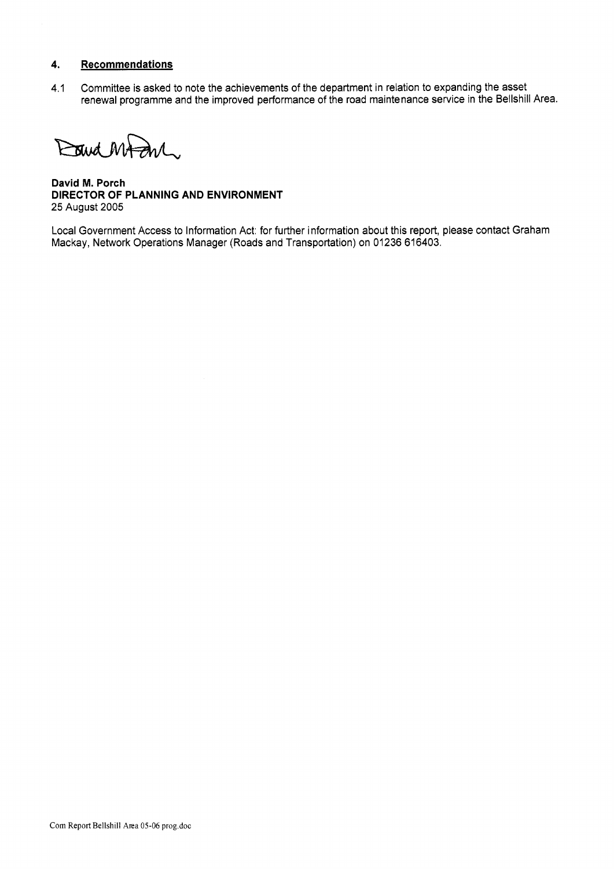## **4. Recommendations**

4.1 Committee is asked to note the achievements of the department in relation to expanding the asset renewal programme and the improved performance of the road maintenance service in the Bellshill Area.

David MAZIN.

**David M. Porch DIRECTOR OF PLANNING AND ENVIRONMENT**  25 August 2005

Local Government Access to Information Act: for further information about this report, please contact Graham Mackay, Network Operations Manager (Roads and Transportation) on 01236 616403.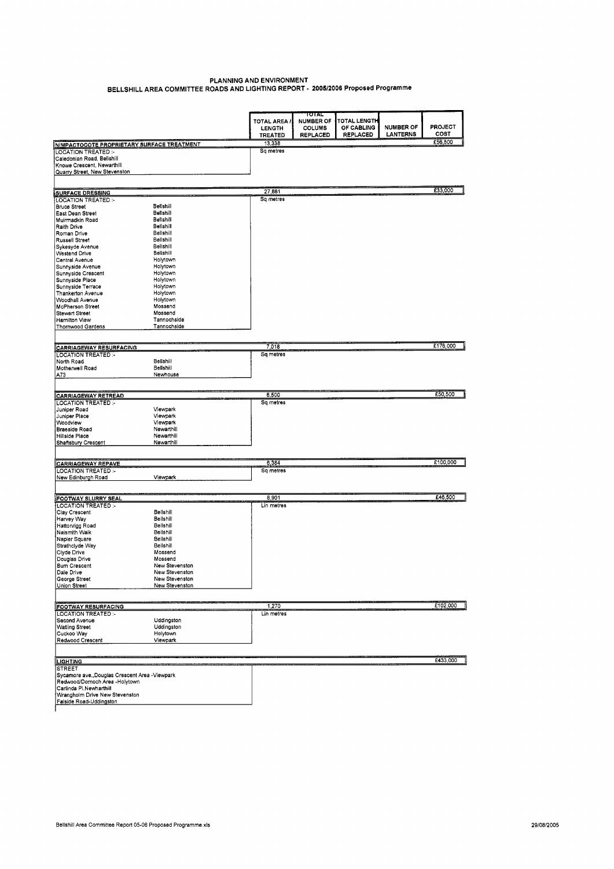### **PLANNING AND ENVIRONMENT BELLSHILL AREA COMMITTEE ROADS AND LIGHTING REPORT** - *200512006* **Proposed Programme**

|                                                           |                        |                               | TOTAL                             |                                   |                  |                |
|-----------------------------------------------------------|------------------------|-------------------------------|-----------------------------------|-----------------------------------|------------------|----------------|
|                                                           |                        | TOTAL AREA /<br><b>LENGTH</b> | <b>NUMBER OF</b><br><b>COLUMS</b> | <b>TOTAL LENGTH</b><br>OF CABLING | <b>NUMBER OF</b> | <b>PROJECT</b> |
|                                                           |                        | <b>TREATED</b>                | <b>REPLACED</b>                   | REPLACED                          | LANTERNS         | COST           |
|                                                           |                        | 13,338                        |                                   |                                   |                  | £56,500        |
| NIMPACTOCOTE PROPRIETARY SURFACE TREATMENT                |                        | Sq metres                     |                                   |                                   |                  |                |
| <b>LOCATION TREATED:-</b><br>Caledonian Road, Bellshill   |                        |                               |                                   |                                   |                  |                |
| Knowe Crescent, Newarthill                                |                        |                               |                                   |                                   |                  |                |
| Quarry Street, New Stevenston                             |                        |                               |                                   |                                   |                  |                |
|                                                           |                        |                               |                                   |                                   |                  |                |
|                                                           |                        |                               |                                   |                                   |                  |                |
| <b>SURFACE DRESSING</b>                                   |                        | 27,881                        |                                   |                                   |                  | £33,000        |
| <b>LOCATION TREATED:-</b>                                 |                        | Sq metres                     |                                   |                                   |                  |                |
| <b>Bruce Street</b>                                       | Bellshill              |                               |                                   |                                   |                  |                |
| East Dean Street                                          | Bellshill              |                               |                                   |                                   |                  |                |
| Muirmadkin Road                                           | Bellshill              |                               |                                   |                                   |                  |                |
| Raith Drive                                               | Bellshill<br>Bellshill |                               |                                   |                                   |                  |                |
| Roman Drive                                               | Bellshill              |                               |                                   |                                   |                  |                |
| Russell Street<br>Sykesyde Avenue                         | Bellshill              |                               |                                   |                                   |                  |                |
| Westend Drive                                             | Belishill              |                               |                                   |                                   |                  |                |
| Central Avenue                                            | Holytown               |                               |                                   |                                   |                  |                |
| Sunnyside Avenue                                          | Holytown               |                               |                                   |                                   |                  |                |
| Sunnyside Crescent                                        | Holytown               |                               |                                   |                                   |                  |                |
| Sunnyside Place                                           | Holytown               |                               |                                   |                                   |                  |                |
| Sunnyside Terrace                                         | Holytown               |                               |                                   |                                   |                  |                |
| Thankerton Avenue                                         | Holytown               |                               |                                   |                                   |                  |                |
| Woodhall Avenue                                           | Holytown               |                               |                                   |                                   |                  |                |
| McPherson Street                                          | Mossend                |                               |                                   |                                   |                  |                |
| <b>Stewart Street</b>                                     | Mossend                |                               |                                   |                                   |                  |                |
| <b>Hamilton View</b>                                      | Tannochside            |                               |                                   |                                   |                  |                |
| Thornwood Gardens                                         | Tannochside            |                               |                                   |                                   |                  |                |
|                                                           |                        |                               |                                   |                                   |                  |                |
| <b>CARRIAGEWAY RESURFACING</b>                            |                        | 7,018                         |                                   |                                   |                  | £176,000       |
| LOCATION TREATED :-                                       |                        | Sq metres                     |                                   |                                   |                  |                |
| North Road                                                | Bellshill              |                               |                                   |                                   |                  |                |
| Motherwell Road                                           | Bellshill              |                               |                                   |                                   |                  |                |
| A73                                                       | Newhouse               |                               |                                   |                                   |                  |                |
|                                                           |                        |                               |                                   |                                   |                  |                |
|                                                           |                        | 6,500                         |                                   |                                   |                  | £50,500        |
| <b>CARRIAGEWAY RETREAD</b><br><b>LOCATION TREATED:-</b>   |                        | Sq metres                     |                                   |                                   |                  |                |
| Juniper Road                                              | Viewpark               |                               |                                   |                                   |                  |                |
| Juniper Place                                             | Viewpark               |                               |                                   |                                   |                  |                |
| Woodview                                                  | Viewpark               |                               |                                   |                                   |                  |                |
| Braeside Road                                             | Newarthill             |                               |                                   |                                   |                  |                |
| Hillside Place                                            | Newarthill             |                               |                                   |                                   |                  |                |
| Shaftsbury Crescent                                       | Newarthill             |                               |                                   |                                   |                  |                |
|                                                           |                        |                               |                                   |                                   |                  |                |
| <b>CARRIAGEWAY REPAVE</b>                                 |                        | 6,384                         |                                   |                                   |                  | £100,000       |
| LOCATION TREATED :-                                       |                        | Sq metres                     |                                   |                                   |                  |                |
| New Edinburgh Road                                        | Viewpark               |                               |                                   |                                   |                  |                |
|                                                           |                        |                               |                                   |                                   |                  |                |
|                                                           |                        |                               |                                   |                                   |                  | £46,500        |
| FOOTWAY SLURRY SEAL<br><b>LOCATION TREATED:-</b>          |                        | 8,901<br>Lin metres           |                                   |                                   |                  |                |
| Clay Crescent                                             | Bellshill              |                               |                                   |                                   |                  |                |
| Harvey Way                                                | Bellshill              |                               |                                   |                                   |                  |                |
| Hattonrigg Road                                           | Bellshill              |                               |                                   |                                   |                  |                |
| Naismith Walk                                             | Bellshill              |                               |                                   |                                   |                  |                |
| Napier Square                                             | Bellshill              |                               |                                   |                                   |                  |                |
| Strathclyde Way                                           | Bellshill              |                               |                                   |                                   |                  |                |
| Clyde Drive                                               | Mossend                |                               |                                   |                                   |                  |                |
| Douglas Drive                                             | Mossend                |                               |                                   |                                   |                  |                |
| <b>Burn Crescent</b>                                      | New Stevenston         |                               |                                   |                                   |                  |                |
| Dale Drive                                                | New Stevenston         |                               |                                   |                                   |                  |                |
| George Street                                             | New Stevenston         |                               |                                   |                                   |                  |                |
| Union Street                                              | New Stevenston         |                               |                                   |                                   |                  |                |
|                                                           |                        |                               |                                   |                                   |                  |                |
| <b>FOOTWAY RESURFACING</b>                                |                        | 1,270                         |                                   |                                   |                  | £102,000       |
| <b>LOCATION TREATED:-</b>                                 |                        | Lin metres                    |                                   |                                   |                  |                |
| Second Avenue                                             | Uddingston             |                               |                                   |                                   |                  |                |
| Watling Street                                            | Uddingston             |                               |                                   |                                   |                  |                |
| Cuckoo Way                                                | Holytown               |                               |                                   |                                   |                  |                |
| Redwood Crescent                                          | Viewpark               |                               |                                   |                                   |                  |                |
|                                                           |                        |                               |                                   |                                   |                  |                |
| <b>LIGHTING</b>                                           |                        |                               |                                   |                                   |                  | £433,000       |
| <b>STREET</b>                                             |                        |                               |                                   |                                   |                  |                |
| Sycamore ave., Douglas Crescent Area - Viewpark           |                        |                               |                                   |                                   |                  |                |
| Redwood/Dornoch Area -Holytown<br>Carlinda Pl.Newharthill |                        |                               |                                   |                                   |                  |                |
| Wrangholm Drive New Stevenston                            |                        |                               |                                   |                                   |                  |                |
| Falside Road-Uddingston                                   |                        |                               |                                   |                                   |                  |                |
|                                                           |                        |                               |                                   |                                   |                  |                |